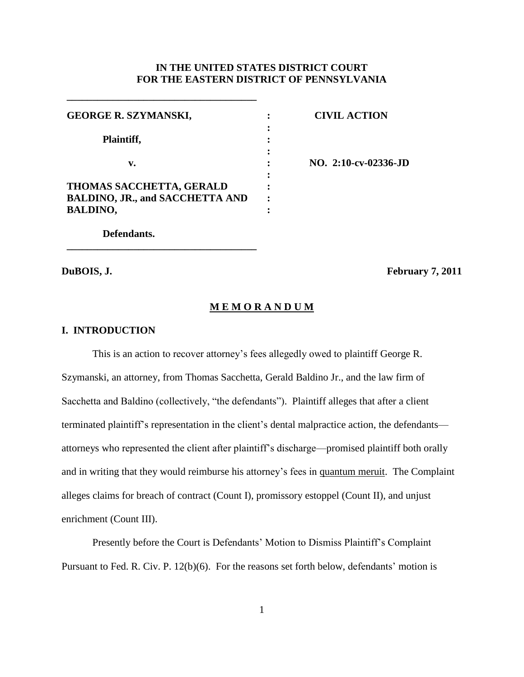# **IN THE UNITED STATES DISTRICT COURT FOR THE EASTERN DISTRICT OF PENNSYLVANIA**

| <b>GEORGE R. SZYMANSKI,</b>            |  |
|----------------------------------------|--|
|                                        |  |
| Plaintiff,                             |  |
|                                        |  |
| v.                                     |  |
|                                        |  |
| <b>THOMAS SACCHETTA, GERALD</b>        |  |
| <b>BALDINO, JR., and SACCHETTA AND</b> |  |
| <b>BALDINO,</b>                        |  |

**\_\_\_\_\_\_\_\_\_\_\_\_\_\_\_\_\_\_\_\_\_\_\_\_\_\_\_\_\_\_\_\_\_\_\_\_\_**

**\_\_\_\_\_\_\_\_\_\_\_\_\_\_\_\_\_\_\_\_\_\_\_\_\_\_\_\_\_\_\_\_\_\_\_\_\_**

**CIVIL ACTION**

**NO. 2:10-cv-02336-JD**

**Defendants.**

**DuBOIS, J. February 7, 2011**

#### **M E M O R A N D U M**

## **I. INTRODUCTION**

This is an action to recover attorney"s fees allegedly owed to plaintiff George R. Szymanski, an attorney, from Thomas Sacchetta, Gerald Baldino Jr., and the law firm of Sacchetta and Baldino (collectively, "the defendants"). Plaintiff alleges that after a client terminated plaintiff"s representation in the client"s dental malpractice action, the defendants attorneys who represented the client after plaintiff"s discharge—promised plaintiff both orally and in writing that they would reimburse his attorney"s fees in quantum meruit. The Complaint alleges claims for breach of contract (Count I), promissory estoppel (Count II), and unjust enrichment (Count III).

Presently before the Court is Defendants" Motion to Dismiss Plaintiff"s Complaint Pursuant to Fed. R. Civ. P. 12(b)(6). For the reasons set forth below, defendants' motion is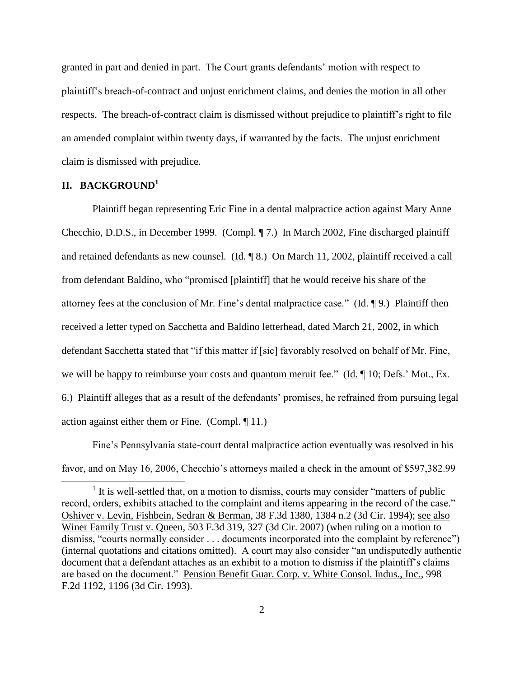granted in part and denied in part. The Court grants defendants' motion with respect to plaintiff"s breach-of-contract and unjust enrichment claims, and denies the motion in all other respects. The breach-of-contract claim is dismissed without prejudice to plaintiff"s right to file an amended complaint within twenty days, if warranted by the facts. The unjust enrichment claim is dismissed with prejudice.

# **II. BACKGROUND<sup>1</sup>**

l

Plaintiff began representing Eric Fine in a dental malpractice action against Mary Anne Checchio, D.D.S., in December 1999. (Compl. ¶ 7.) In March 2002, Fine discharged plaintiff and retained defendants as new counsel.  $(\underline{Id} \cdot \P \otimes \mathcal{S})$  On March 11, 2002, plaintiff received a call from defendant Baldino, who "promised [plaintiff] that he would receive his share of the attorney fees at the conclusion of Mr. Fine"s dental malpractice case." (Id. ¶ 9.) Plaintiff then received a letter typed on Sacchetta and Baldino letterhead, dated March 21, 2002, in which defendant Sacchetta stated that "if this matter if [sic] favorably resolved on behalf of Mr. Fine, we will be happy to reimburse your costs and <u>quantum meruit</u> fee." (Id. ¶ 10; Defs.' Mot., Ex. 6.) Plaintiff alleges that as a result of the defendants" promises, he refrained from pursuing legal action against either them or Fine. (Compl. ¶ 11.)

Fine"s Pennsylvania state-court dental malpractice action eventually was resolved in his favor, and on May 16, 2006, Checchio's attorneys mailed a check in the amount of \$597,382.99

<sup>&</sup>lt;sup>1</sup> It is well-settled that, on a motion to dismiss, courts may consider "matters of public record, orders, exhibits attached to the complaint and items appearing in the record of the case." Oshiver v. Levin, Fishbein, Sedran & Berman, 38 F.3d 1380, 1384 n.2 (3d Cir. 1994); see also Winer Family Trust v. Queen*,* 503 F.3d 319, 327 (3d Cir. 2007) (when ruling on a motion to dismiss, "courts normally consider . . . documents incorporated into the complaint by reference") (internal quotations and citations omitted). A court may also consider "an undisputedly authentic document that a defendant attaches as an exhibit to a motion to dismiss if the plaintiff"s claims are based on the document." Pension Benefit Guar. Corp. v. White Consol. Indus., Inc.*,* 998 F.2d 1192, 1196 (3d Cir. 1993).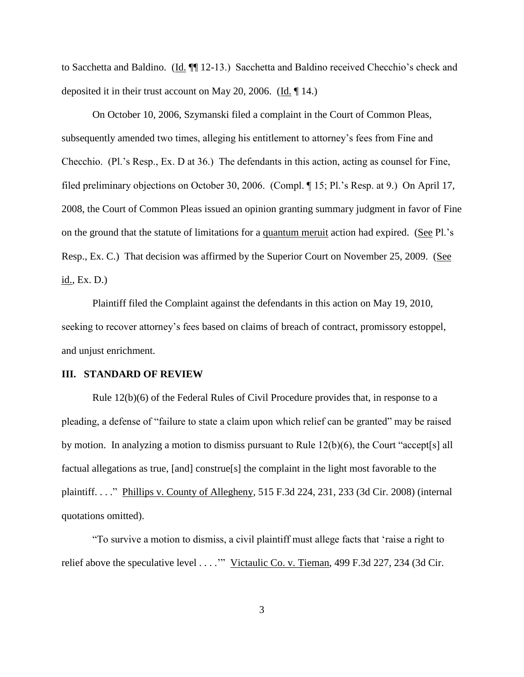to Sacchetta and Baldino. (Id. ¶¶ 12-13.) Sacchetta and Baldino received Checchio"s check and deposited it in their trust account on May 20, 2006. (Id. ¶ 14.)

On October 10, 2006, Szymanski filed a complaint in the Court of Common Pleas, subsequently amended two times, alleging his entitlement to attorney"s fees from Fine and Checchio. (Pl."s Resp., Ex. D at 36.) The defendants in this action, acting as counsel for Fine, filed preliminary objections on October 30, 2006. (Compl. ¶ 15; Pl."s Resp. at 9.) On April 17, 2008, the Court of Common Pleas issued an opinion granting summary judgment in favor of Fine on the ground that the statute of limitations for a quantum meruit action had expired. (See Pl."s Resp., Ex. C.) That decision was affirmed by the Superior Court on November 25, 2009. (See id., Ex. D.)

Plaintiff filed the Complaint against the defendants in this action on May 19, 2010, seeking to recover attorney"s fees based on claims of breach of contract, promissory estoppel, and unjust enrichment.

#### **III. STANDARD OF REVIEW**

Rule 12(b)(6) of the Federal Rules of Civil Procedure provides that, in response to a pleading, a defense of "failure to state a claim upon which relief can be granted" may be raised by motion. In analyzing a motion to dismiss pursuant to Rule  $12(b)(6)$ , the Court "accept[s] all factual allegations as true, [and] construe[s] the complaint in the light most favorable to the plaintiff. . . ." Phillips v. County of Allegheny*,* 515 F.3d 224, 231, 233 (3d Cir. 2008) (internal quotations omitted).

"To survive a motion to dismiss, a civil plaintiff must allege facts that "raise a right to relief above the speculative level . . . . "" Victaulic Co. v. Tieman, 499 F.3d 227, 234 (3d Cir.

3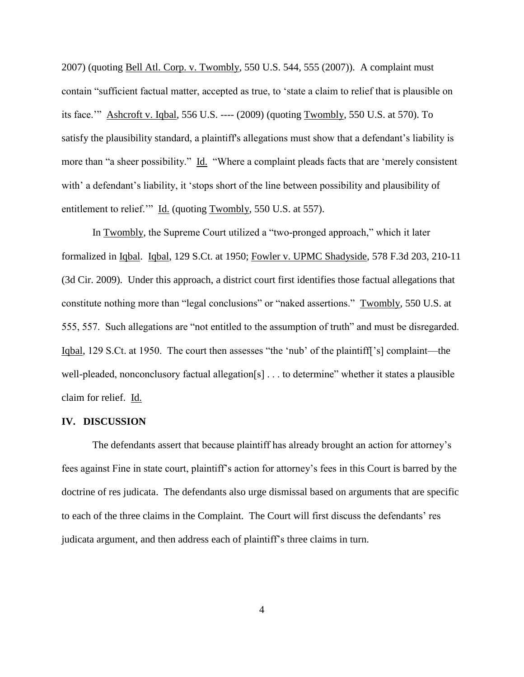2007) (quoting Bell Atl. Corp. v. Twombly, 550 U.S. 544, 555 (2007)). A complaint must contain "sufficient factual matter, accepted as true, to "state a claim to relief that is plausible on its face."" Ashcroft v. Iqbal, 556 U.S. ---- (2009) (quoting Twombly, 550 U.S. at 570). To satisfy the plausibility standard, a plaintiff's allegations must show that a defendant's liability is more than "a sheer possibility." Id. "Where a complaint pleads facts that are "merely consistent with' a defendant's liability, it 'stops short of the line between possibility and plausibility of entitlement to relief."" Id. (quoting Twombly, 550 U.S. at 557).

In Twombly, the Supreme Court utilized a "two-pronged approach," which it later formalized in Iqbal.Iqbal, 129 S.Ct. at 1950; Fowler v. UPMC Shadyside, 578 F.3d 203, 210-11 (3d Cir. 2009). Under this approach, a district court first identifies those factual allegations that constitute nothing more than "legal conclusions" or "naked assertions." Twombly, 550 U.S. at 555, 557. Such allegations are "not entitled to the assumption of truth" and must be disregarded. Iqbal, 129 S.Ct. at 1950. The court then assesses "the "nub" of the plaintiff["s] complaint—the well-pleaded, nonconclusory factual allegation[s] . . . to determine" whether it states a plausible claim for relief. Id.

## **IV. DISCUSSION**

The defendants assert that because plaintiff has already brought an action for attorney"s fees against Fine in state court, plaintiff"s action for attorney"s fees in this Court is barred by the doctrine of res judicata. The defendants also urge dismissal based on arguments that are specific to each of the three claims in the Complaint. The Court will first discuss the defendants' res judicata argument, and then address each of plaintiff"s three claims in turn.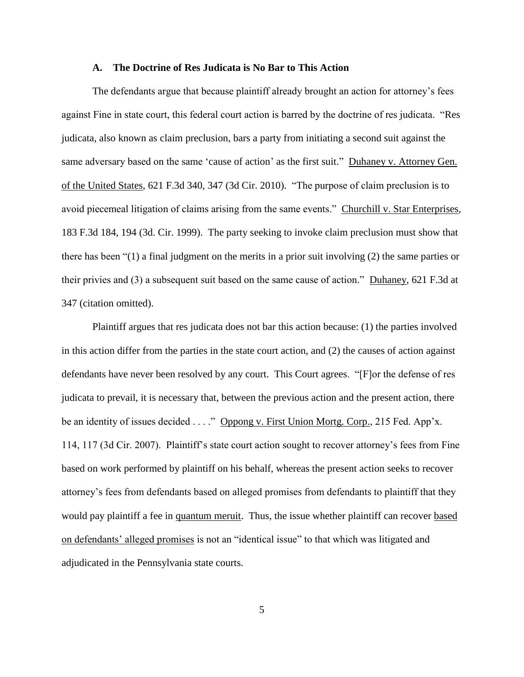#### **A. The Doctrine of Res Judicata is No Bar to This Action**

The defendants argue that because plaintiff already brought an action for attorney"s fees against Fine in state court, this federal court action is barred by the doctrine of res judicata. "Res judicata, also known as claim preclusion, bars a party from initiating a second suit against the same adversary based on the same 'cause of action' as the first suit." Duhaney v. Attorney Gen. of the United States, 621 F.3d 340, 347 (3d Cir. 2010). "The purpose of claim preclusion is to avoid piecemeal litigation of claims arising from the same events." Churchill v. Star Enterprises*,* 183 F.3d 184, 194 (3d. Cir. 1999). The party seeking to invoke claim preclusion must show that there has been "(1) a final judgment on the merits in a prior suit involving (2) the same parties or their privies and (3) a subsequent suit based on the same cause of action." Duhaney, 621 F.3d at 347 (citation omitted).

Plaintiff argues that res judicata does not bar this action because: (1) the parties involved in this action differ from the parties in the state court action, and (2) the causes of action against defendants have never been resolved by any court. This Court agrees. "[F]or the defense of res judicata to prevail, it is necessary that, between the previous action and the present action, there be an identity of issues decided . . . ." Oppong v. First Union Mortg. Corp., 215 Fed. App'x. 114, 117 (3d Cir. 2007). Plaintiff"s state court action sought to recover attorney"s fees from Fine based on work performed by plaintiff on his behalf, whereas the present action seeks to recover attorney"s fees from defendants based on alleged promises from defendants to plaintiff that they would pay plaintiff a fee in quantum meruit. Thus, the issue whether plaintiff can recover based on defendants" alleged promises is not an "identical issue" to that which was litigated and adjudicated in the Pennsylvania state courts.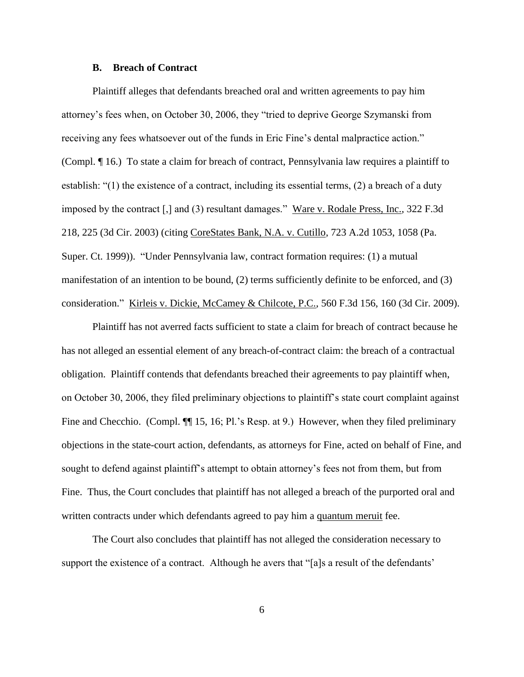#### **B. Breach of Contract**

Plaintiff alleges that defendants breached oral and written agreements to pay him attorney"s fees when, on October 30, 2006, they "tried to deprive George Szymanski from receiving any fees whatsoever out of the funds in Eric Fine's dental malpractice action." (Compl. ¶ 16.) To state a claim for breach of contract, Pennsylvania law requires a plaintiff to establish: "(1) the existence of a contract, including its essential terms, (2) a breach of a duty imposed by the contract [,] and (3) resultant damages." Ware v. Rodale Press, Inc., 322 F.3d 218, 225 (3d Cir. 2003) (citing CoreStates Bank, N.A. v. Cutillo, 723 A.2d 1053, 1058 (Pa. Super. Ct. 1999)). "Under Pennsylvania law, contract formation requires: (1) a mutual manifestation of an intention to be bound, (2) terms sufficiently definite to be enforced, and (3) consideration." Kirleis v. Dickie, McCamey & Chilcote, P.C., 560 F.3d 156, 160 (3d Cir. 2009).

Plaintiff has not averred facts sufficient to state a claim for breach of contract because he has not alleged an essential element of any breach-of-contract claim: the breach of a contractual obligation. Plaintiff contends that defendants breached their agreements to pay plaintiff when, on October 30, 2006, they filed preliminary objections to plaintiff"s state court complaint against Fine and Checchio. (Compl.  $\P$  15, 16; Pl.'s Resp. at 9.) However, when they filed preliminary objections in the state-court action, defendants, as attorneys for Fine, acted on behalf of Fine, and sought to defend against plaintiff's attempt to obtain attorney's fees not from them, but from Fine. Thus, the Court concludes that plaintiff has not alleged a breach of the purported oral and written contracts under which defendants agreed to pay him a quantum meruit fee.

The Court also concludes that plaintiff has not alleged the consideration necessary to support the existence of a contract. Although he avers that "[a]s a result of the defendants'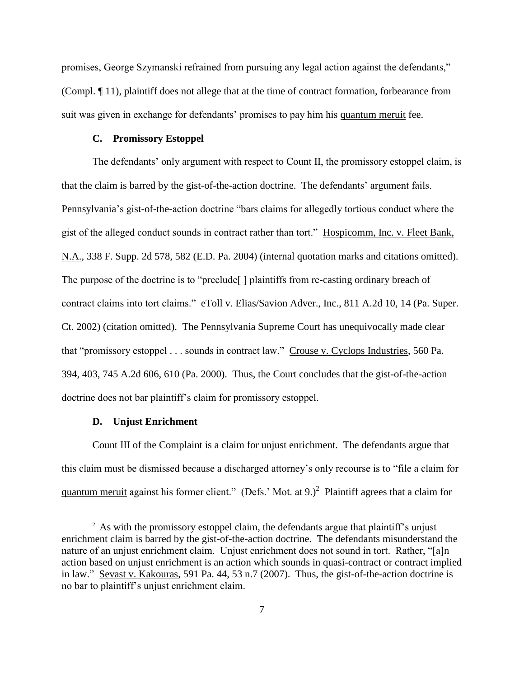promises, George Szymanski refrained from pursuing any legal action against the defendants," (Compl. ¶ 11), plaintiff does not allege that at the time of contract formation, forbearance from suit was given in exchange for defendants' promises to pay him his quantum meruit fee.

## **C. Promissory Estoppel**

The defendants' only argument with respect to Count II, the promissory estoppel claim, is that the claim is barred by the gist-of-the-action doctrine. The defendants' argument fails. Pennsylvania"s gist-of-the-action doctrine "bars claims for allegedly tortious conduct where the gist of the alleged conduct sounds in contract rather than tort." Hospicomm, Inc. v. Fleet Bank, N.A., 338 F. Supp. 2d 578, 582 (E.D. Pa. 2004) (internal quotation marks and citations omitted). The purpose of the doctrine is to "preclude" | plaintiffs from re-casting ordinary breach of contract claims into tort claims." eToll v. Elias/Savion Adver., Inc., 811 A.2d 10, 14 (Pa. Super. Ct. 2002) (citation omitted). The Pennsylvania Supreme Court has unequivocally made clear that "promissory estoppel . . . sounds in contract law." Crouse v. Cyclops Industries, 560 Pa. 394, 403, 745 A.2d 606, 610 (Pa. 2000). Thus, the Court concludes that the gist-of-the-action doctrine does not bar plaintiff"s claim for promissory estoppel.

## **D. Unjust Enrichment**

 $\overline{a}$ 

Count III of the Complaint is a claim for unjust enrichment. The defendants argue that this claim must be dismissed because a discharged attorney"s only recourse is to "file a claim for quantum meruit against his former client." (Defs.' Mot. at 9.)<sup>2</sup> Plaintiff agrees that a claim for

<sup>&</sup>lt;sup>2</sup> As with the promissory estoppel claim, the defendants argue that plaintiff's unjust enrichment claim is barred by the gist-of-the-action doctrine. The defendants misunderstand the nature of an unjust enrichment claim. Unjust enrichment does not sound in tort. Rather, "[a]n action based on unjust enrichment is an action which sounds in quasi-contract or contract implied in law." Sevast v. Kakouras, 591 Pa. 44, 53 n.7 (2007). Thus, the gist-of-the-action doctrine is no bar to plaintiff"s unjust enrichment claim.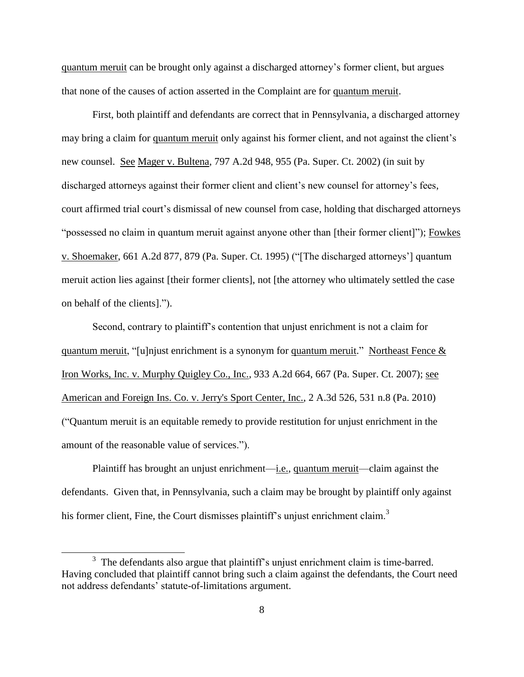quantum meruit can be brought only against a discharged attorney"s former client, but argues that none of the causes of action asserted in the Complaint are for quantum meruit.

First, both plaintiff and defendants are correct that in Pennsylvania, a discharged attorney may bring a claim for quantum meruit only against his former client, and not against the client"s new counsel. See Mager v. Bultena, 797 A.2d 948, 955 (Pa. Super. Ct. 2002) (in suit by discharged attorneys against their former client and client's new counsel for attorney's fees, court affirmed trial court's dismissal of new counsel from case, holding that discharged attorneys "possessed no claim in quantum meruit against anyone other than [their former client]"); Fowkes v. Shoemaker, 661 A.2d 877, 879 (Pa. Super. Ct. 1995) ("[The discharged attorneys"] quantum meruit action lies against [their former clients], not [the attorney who ultimately settled the case on behalf of the clients].").

Second, contrary to plaintiff"s contention that unjust enrichment is not a claim for quantum meruit, "[u]njust enrichment is a synonym for quantum meruit." Northeast Fence  $\&$ Iron Works, Inc. v. Murphy Quigley Co., Inc., 933 A.2d 664, 667 (Pa. Super. Ct. 2007); see American and Foreign Ins. Co. v. Jerry's Sport Center, Inc., 2 A.3d 526, 531 n.8 (Pa. 2010) ("Quantum meruit is an equitable remedy to provide restitution for unjust enrichment in the amount of the reasonable value of services.").

Plaintiff has brought an unjust enrichment—i.e., quantum meruit—claim against the defendants. Given that, in Pennsylvania, such a claim may be brought by plaintiff only against his former client, Fine, the Court dismisses plaintiff's unjust enrichment claim.<sup>3</sup>

 $\overline{a}$ 

 $3$  The defendants also argue that plaintiff's unjust enrichment claim is time-barred. Having concluded that plaintiff cannot bring such a claim against the defendants, the Court need not address defendants' statute-of-limitations argument.